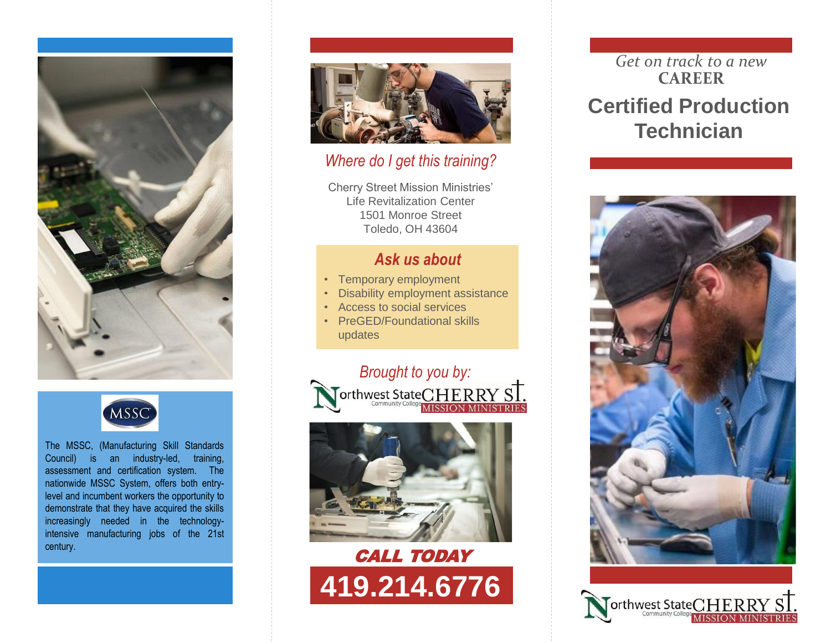



The MSSC, (Manufacturing Skill Standards Council) is an industry-led, training, assessment and certification system. The nationwide MSSC System, offers both entrylevel and incumbent workers the opportunity to demonstrate that they have acquired the skills increasingly needed in the technologyintensive manufacturing jobs of the 21st century.



#### *Where do I get this training?*

Cherry Street Mission Ministries' Life Revitalization Center 1501 Monroe Street Toledo, OH 43604

#### *Ask us about*

- Temporary employment
- Disability employment assistance
- Access to social services
- PreGED/Foundational skills updates





# CALL TODAY **419.214.6776**

## *Get on track to a new* **CAREER Certified Production Technician**